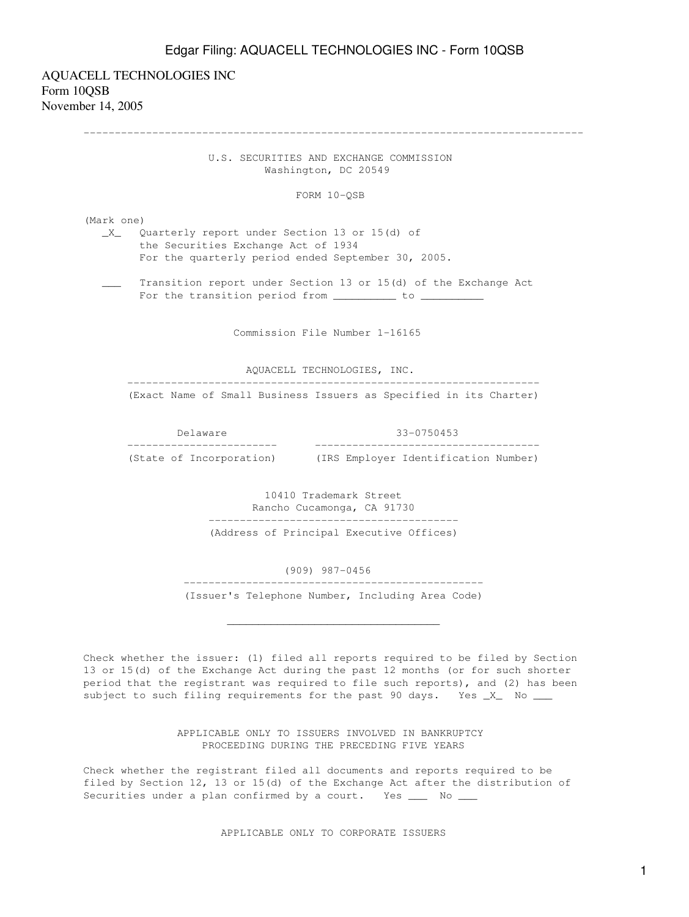AQUACELL TECHNOLOGIES INC Form 10QSB November 14, 2005

> U.S. SECURITIES AND EXCHANGE COMMISSION Washington, DC 20549

--------------------------------------------------------------------------------

FORM 10-QSB

(Mark one)

 \_X\_ Quarterly report under Section 13 or 15(d) of the Securities Exchange Act of 1934 For the quarterly period ended September 30, 2005.

 \_\_\_ Transition report under Section 13 or 15(d) of the Exchange Act For the transition period from \_\_\_\_\_\_\_\_\_\_ to \_\_\_\_\_\_\_\_\_

Commission File Number 1-16165

AQUACELL TECHNOLOGIES, INC.

------------------------------------------------------------------

(Exact Name of Small Business Issuers as Specified in its Charter)

Delaware 33-0750453

 ------------------------ ------------------------------------ (State of Incorporation) (IRS Employer Identification Number)

> 10410 Trademark Street Rancho Cucamonga, CA 91730 ---------------------------------------- (Address of Principal Executive Offices)

(909) 987-0456

 ------------------------------------------------ (Issuer's Telephone Number, Including Area Code)

 $\overline{\phantom{a}}$  ,  $\overline{\phantom{a}}$  ,  $\overline{\phantom{a}}$  ,  $\overline{\phantom{a}}$  ,  $\overline{\phantom{a}}$  ,  $\overline{\phantom{a}}$  ,  $\overline{\phantom{a}}$  ,  $\overline{\phantom{a}}$  ,  $\overline{\phantom{a}}$  ,  $\overline{\phantom{a}}$  ,  $\overline{\phantom{a}}$  ,  $\overline{\phantom{a}}$  ,  $\overline{\phantom{a}}$  ,  $\overline{\phantom{a}}$  ,  $\overline{\phantom{a}}$  ,  $\overline{\phantom{a}}$ 

Check whether the issuer: (1) filed all reports required to be filed by Section 13 or 15(d) of the Exchange Act during the past 12 months (or for such shorter period that the registrant was required to file such reports), and (2) has been subject to such filing requirements for the past 90 days. Yes \_X\_ No \_\_\_

> APPLICABLE ONLY TO ISSUERS INVOLVED IN BANKRUPTCY PROCEEDING DURING THE PRECEDING FIVE YEARS

Check whether the registrant filed all documents and reports required to be filed by Section 12, 13 or 15(d) of the Exchange Act after the distribution of Securities under a plan confirmed by a court. Yes \_\_\_ No \_\_\_

APPLICABLE ONLY TO CORPORATE ISSUERS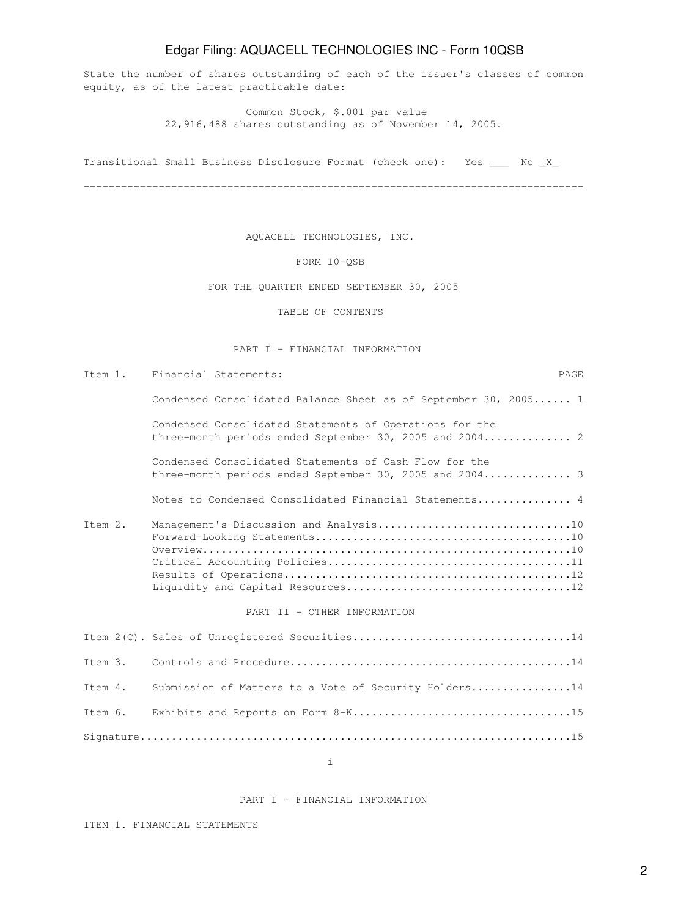State the number of shares outstanding of each of the issuer's classes of common equity, as of the latest practicable date:

> Common Stock, \$.001 par value 22,916,488 shares outstanding as of November 14, 2005.

Transitional Small Business Disclosure Format (check one): Yes \_\_\_ No \_X\_

--------------------------------------------------------------------------------

AQUACELL TECHNOLOGIES, INC.

FORM 10-QSB

FOR THE QUARTER ENDED SEPTEMBER 30, 2005

TABLE OF CONTENTS

#### PART I - FINANCIAL INFORMATION

Item 1. Financial Statements: PAGE Condensed Consolidated Balance Sheet as of September 30, 2005...... 1 Condensed Consolidated Statements of Operations for the three-month periods ended September 30, 2005 and 2004.............. 2 Condensed Consolidated Statements of Cash Flow for the three-month periods ended September 30, 2005 and 2004.............. 3 Notes to Condensed Consolidated Financial Statements............... 4 Item 2. Management's Discussion and Analysis.................................10 Forward-Looking Statements.........................................10 Overview...........................................................10 Critical Accounting Policies.......................................11 Results of Operations..............................................12 Liquidity and Capital Resources....................................12 PART II - OTHER INFORMATION Item 2(C). Sales of Unregistered Securities...................................14 Item 3. Controls and Procedure.............................................14 Item 4. Submission of Matters to a Vote of Security Holders................14

Item 6. Exhibits and Reports on Form 8-K...................................15 Signature.....................................................................15

i

#### PART I - FINANCIAL INFORMATION

ITEM 1. FINANCIAL STATEMENTS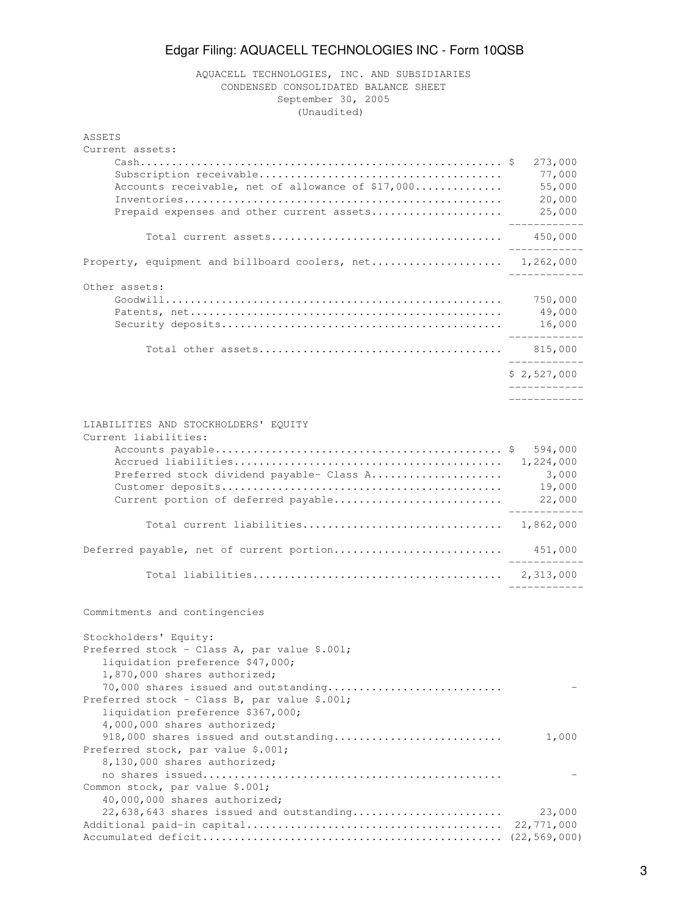### AQUACELL TECHNOLOGIES, INC. AND SUBSIDIARIES CONDENSED CONSOLIDATED BALANCE SHEET September 30, 2005 (Unaudited)

| ASSETS<br>Current assets:                                                                                                                                                                                                                                              |                                                   |
|------------------------------------------------------------------------------------------------------------------------------------------------------------------------------------------------------------------------------------------------------------------------|---------------------------------------------------|
| Accounts receivable, net of allowance of \$17,000                                                                                                                                                                                                                      | 273,000<br>77,000<br>55,000                       |
| Prepaid expenses and other current assets                                                                                                                                                                                                                              | 20,000<br>25,000                                  |
|                                                                                                                                                                                                                                                                        | 450,000                                           |
| Property, equipment and billboard coolers, net 1,262,000                                                                                                                                                                                                               | --------                                          |
| Other assets:                                                                                                                                                                                                                                                          | 750,000<br>49,000<br>16,000<br>-------------      |
|                                                                                                                                                                                                                                                                        | ____________                                      |
|                                                                                                                                                                                                                                                                        | \$2,527,000<br>. _ _ _ _ _ _ _ _ _ _ _ _          |
| LIABILITIES AND STOCKHOLDERS' EQUITY<br>Current liabilities:                                                                                                                                                                                                           |                                                   |
| Preferred stock dividend payable- Class A<br>Current portion of deferred payable                                                                                                                                                                                       | 594,000<br>1,224,000<br>3,000<br>19,000<br>22,000 |
|                                                                                                                                                                                                                                                                        |                                                   |
| Deferred payable, net of current portion                                                                                                                                                                                                                               | 451,000                                           |
|                                                                                                                                                                                                                                                                        |                                                   |
| Commitments and contingencies                                                                                                                                                                                                                                          |                                                   |
| Stockholders' Equity:<br>Preferred stock - Class A, par value \$.001;<br>liquidation preference \$47,000;<br>1,870,000 shares authorized;<br>70,000 shares issued and outstanding<br>Preferred stock - Class B, par value \$.001;<br>liquidation preference \$367,000; |                                                   |
| 4,000,000 shares authorized;<br>918,000 shares issued and outstanding                                                                                                                                                                                                  | 1,000                                             |
| Preferred stock, par value \$.001;<br>8,130,000 shares authorized;<br>Common stock, par value \$.001;                                                                                                                                                                  |                                                   |
| 40,000,000 shares authorized;<br>22,638,643 shares issued and outstanding                                                                                                                                                                                              | 23,000<br>22,771,000<br>(22, 569, 000)            |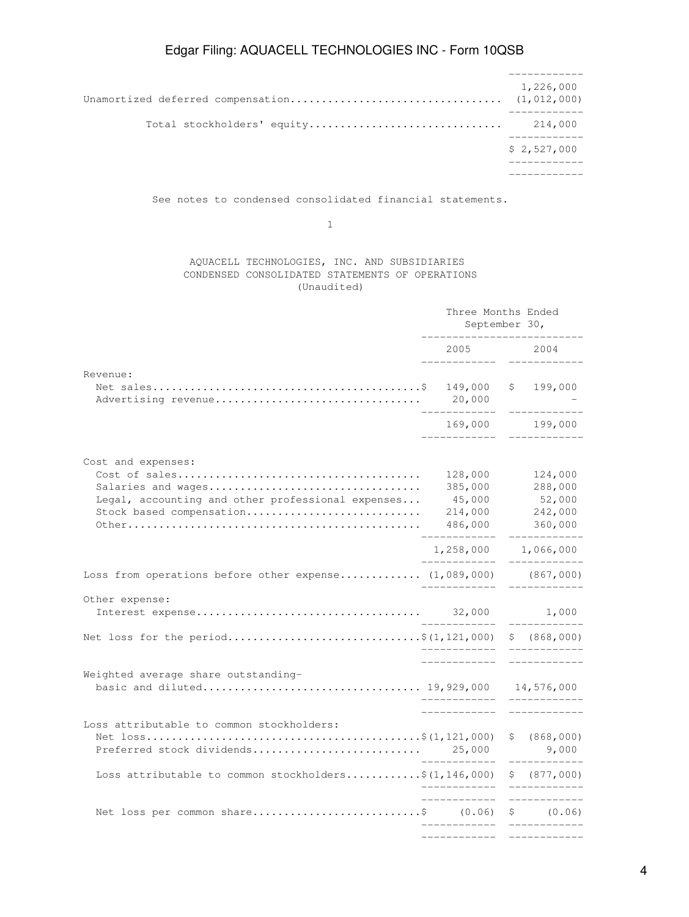|                            | 1,226,000<br>(1, 012, 000) |
|----------------------------|----------------------------|
| Total stockholders' equity | 214,000                    |
|                            | \$2,527,000                |
|                            |                            |

See notes to condensed consolidated financial statements.

1

### AQUACELL TECHNOLOGIES, INC. AND SUBSIDIARIES CONDENSED CONSOLIDATED STATEMENTS OF OPERATIONS (Unaudited)

|                                                                                                                           | Three Months Ended<br>September 30,                     |                                                    |  |
|---------------------------------------------------------------------------------------------------------------------------|---------------------------------------------------------|----------------------------------------------------|--|
|                                                                                                                           | 2005                                                    | 2004                                               |  |
| Revenue:<br>Advertising revenue                                                                                           | 149,000<br>20,000<br>169,000                            | \$199,000<br>199,000                               |  |
| Cost and expenses:<br>Salaries and wages<br>Legal, accounting and other professional expenses<br>Stock based compensation | 128,000<br>385,000<br>45,000<br>214,000<br>486,000<br>. | 124,000<br>288,000<br>52,000<br>242,000<br>360,000 |  |
| Loss from operations before other expense (1,089,000) (867,000)                                                           | 1,258,000<br>____________                               | 1,066,000<br>__________                            |  |
| Other expense:                                                                                                            |                                                         | 1,000                                              |  |
| Net loss for the period\$(1,121,000)                                                                                      | -----------                                             | \$ (868,000)                                       |  |
| Weighted average share outstanding-                                                                                       |                                                         | .                                                  |  |
| Loss attributable to common stockholders:<br>Preferred stock dividends                                                    | 25,000<br>____________                                  | \$ (868,000)<br>9,000<br>____________              |  |
| Loss attributable to common stockholders\$ $(1, 146, 000)$                                                                |                                                         | \$ (877,000)                                       |  |
| Net loss per common share\$ (0.06)                                                                                        |                                                         | \$ (0.06)<br>_________<br>----------               |  |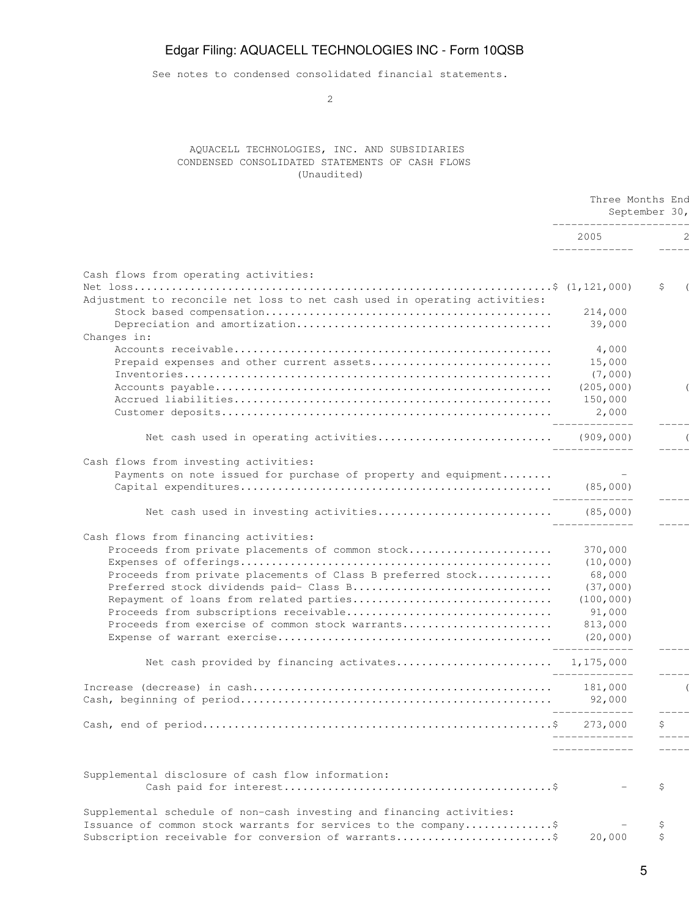See notes to condensed consolidated financial statements.

2

### AQUACELL TECHNOLOGIES, INC. AND SUBSIDIARIES CONDENSED CONSOLIDATED STATEMENTS OF CASH FLOWS (Unaudited)

|                                                                            | Three Months End<br>September 30,<br>_______________________ |    |
|----------------------------------------------------------------------------|--------------------------------------------------------------|----|
|                                                                            | 2005<br>______________                                       |    |
| Cash flows from operating activities:                                      |                                                              |    |
| Adjustment to reconcile net loss to net cash used in operating activities: |                                                              | \$ |
|                                                                            | 214,000                                                      |    |
| Changes in:                                                                | 39,000                                                       |    |
|                                                                            | 4,000                                                        |    |
| Prepaid expenses and other current assets                                  | 15,000                                                       |    |
|                                                                            | (7,000)                                                      |    |
|                                                                            | (205, 000)                                                   |    |
|                                                                            | 150,000                                                      |    |
|                                                                            | 2,000<br>______________                                      |    |
|                                                                            |                                                              |    |
| Cash flows from investing activities:                                      |                                                              |    |
| Payments on note issued for purchase of property and equipment             |                                                              |    |
|                                                                            |                                                              |    |
|                                                                            | ______________                                               |    |
| Cash flows from financing activities:                                      |                                                              |    |
| Proceeds from private placements of common stock                           | 370,000                                                      |    |
|                                                                            | (10, 000)                                                    |    |
| Proceeds from private placements of Class B preferred stock                | 68,000                                                       |    |
| Preferred stock dividends paid- Class B                                    | (37,000)                                                     |    |
| Repayment of loans from related parties                                    | (100, 000)                                                   |    |
|                                                                            | 91,000                                                       |    |
| Proceeds from exercise of common stock warrants                            | 813,000                                                      |    |
|                                                                            | (20, 000)<br>______________                                  |    |
| Net cash provided by financing activates 1,175,000                         | ______________                                               |    |
|                                                                            |                                                              |    |
|                                                                            | -------------                                                |    |
|                                                                            |                                                              | \$ |
|                                                                            | . _ _ _ _ _ _ _ _ _ _ _ _ _                                  |    |
| Supplemental disclosure of cash flow information:                          |                                                              |    |
|                                                                            |                                                              | \$ |
| Supplemental schedule of non-cash investing and financing activities:      |                                                              |    |
| Issuance of common stock warrants for services to the company\$            |                                                              | \$ |
| Subscription receivable for conversion of warrants                         | 20,000                                                       | \$ |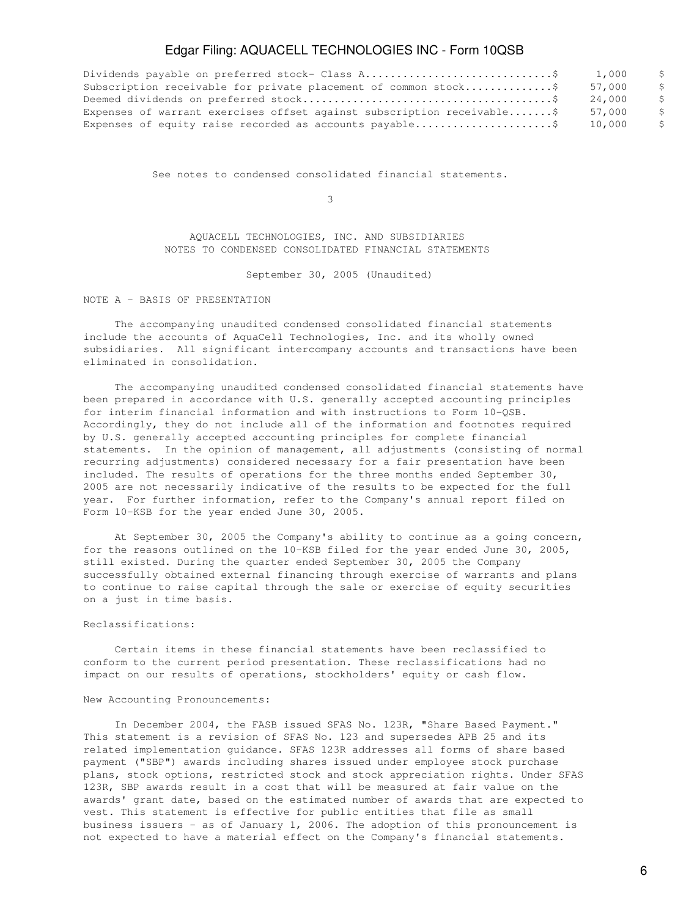|                                                                         | 1.000  |  |
|-------------------------------------------------------------------------|--------|--|
| Subscription receivable for private placement of common stock\$         | 57.000 |  |
|                                                                         | 24.000 |  |
| Expenses of warrant exercises offset against subscription receivable \$ | 57.000 |  |
|                                                                         | 10.000 |  |
|                                                                         |        |  |

See notes to condensed consolidated financial statements.

 $\sim$  3

 AQUACELL TECHNOLOGIES, INC. AND SUBSIDIARIES NOTES TO CONDENSED CONSOLIDATED FINANCIAL STATEMENTS

September 30, 2005 (Unaudited)

NOTE A - BASIS OF PRESENTATION

 The accompanying unaudited condensed consolidated financial statements include the accounts of AquaCell Technologies, Inc. and its wholly owned subsidiaries. All significant intercompany accounts and transactions have been eliminated in consolidation.

 The accompanying unaudited condensed consolidated financial statements have been prepared in accordance with U.S. generally accepted accounting principles for interim financial information and with instructions to Form 10-QSB. Accordingly, they do not include all of the information and footnotes required by U.S. generally accepted accounting principles for complete financial statements. In the opinion of management, all adjustments (consisting of normal recurring adjustments) considered necessary for a fair presentation have been included. The results of operations for the three months ended September 30, 2005 are not necessarily indicative of the results to be expected for the full year. For further information, refer to the Company's annual report filed on Form 10-KSB for the year ended June 30, 2005.

 At September 30, 2005 the Company's ability to continue as a going concern, for the reasons outlined on the 10-KSB filed for the year ended June 30, 2005, still existed. During the quarter ended September 30, 2005 the Company successfully obtained external financing through exercise of warrants and plans to continue to raise capital through the sale or exercise of equity securities on a just in time basis.

### Reclassifications:

 Certain items in these financial statements have been reclassified to conform to the current period presentation. These reclassifications had no impact on our results of operations, stockholders' equity or cash flow.

#### New Accounting Pronouncements:

 In December 2004, the FASB issued SFAS No. 123R, "Share Based Payment." This statement is a revision of SFAS No. 123 and supersedes APB 25 and its related implementation guidance. SFAS 123R addresses all forms of share based payment ("SBP") awards including shares issued under employee stock purchase plans, stock options, restricted stock and stock appreciation rights. Under SFAS 123R, SBP awards result in a cost that will be measured at fair value on the awards' grant date, based on the estimated number of awards that are expected to vest. This statement is effective for public entities that file as small business issuers - as of January 1, 2006. The adoption of this pronouncement is not expected to have a material effect on the Company's financial statements.

6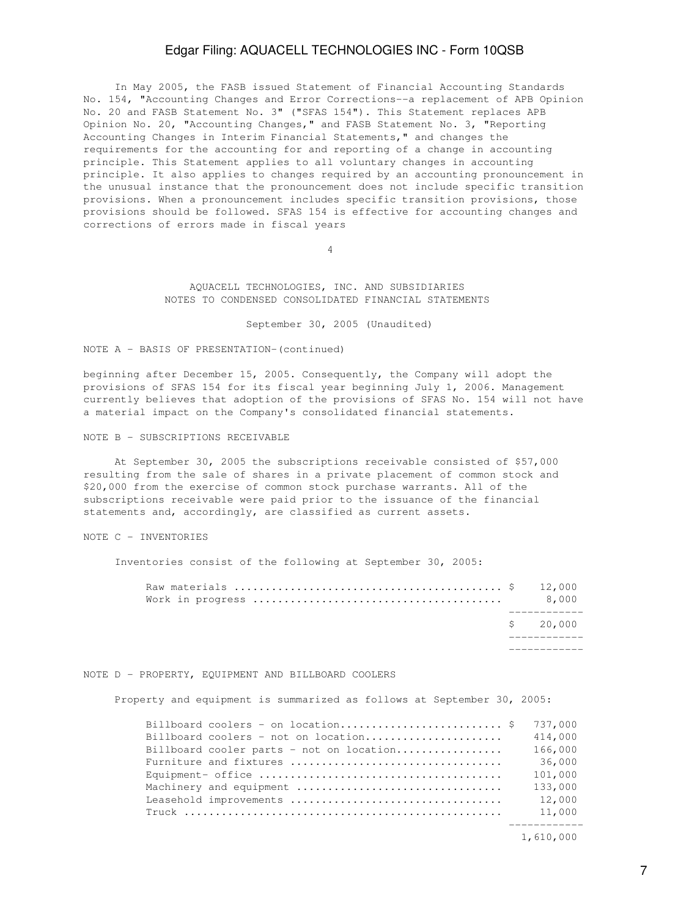In May 2005, the FASB issued Statement of Financial Accounting Standards No. 154, "Accounting Changes and Error Corrections--a replacement of APB Opinion No. 20 and FASB Statement No. 3" ("SFAS 154"). This Statement replaces APB Opinion No. 20, "Accounting Changes," and FASB Statement No. 3, "Reporting Accounting Changes in Interim Financial Statements," and changes the requirements for the accounting for and reporting of a change in accounting principle. This Statement applies to all voluntary changes in accounting principle. It also applies to changes required by an accounting pronouncement in the unusual instance that the pronouncement does not include specific transition provisions. When a pronouncement includes specific transition provisions, those provisions should be followed. SFAS 154 is effective for accounting changes and corrections of errors made in fiscal years

4

 AQUACELL TECHNOLOGIES, INC. AND SUBSIDIARIES NOTES TO CONDENSED CONSOLIDATED FINANCIAL STATEMENTS

September 30, 2005 (Unaudited)

### NOTE A - BASIS OF PRESENTATION-(continued)

beginning after December 15, 2005. Consequently, the Company will adopt the provisions of SFAS 154 for its fiscal year beginning July 1, 2006. Management currently believes that adoption of the provisions of SFAS No. 154 will not have a material impact on the Company's consolidated financial statements.

NOTE B - SUBSCRIPTIONS RECEIVABLE

 At September 30, 2005 the subscriptions receivable consisted of \$57,000 resulting from the sale of shares in a private placement of common stock and \$20,000 from the exercise of common stock purchase warrants. All of the subscriptions receivable were paid prior to the issuance of the financial statements and, accordingly, are classified as current assets.

### NOTE C - INVENTORIES

Inventories consist of the following at September 30, 2005:

|  | 8,000     |
|--|-----------|
|  | \$ 20,000 |
|  |           |

#### NOTE D - PROPERTY, EQUIPMENT AND BILLBOARD COOLERS

Property and equipment is summarized as follows at September 30, 2005:

|                                                                                                 | 737,000 |
|-------------------------------------------------------------------------------------------------|---------|
| Billboard coolers - not on location                                                             | 414,000 |
| Billboard cooler parts - not on location                                                        | 166,000 |
|                                                                                                 | 36,000  |
| Equipment- office $\dots\dots\dots\dots\dots\dots\dots\dots\dots\dots\dots\dots\dots\dots\dots$ | 101,000 |
| Machinery and equipment                                                                         | 133,000 |
|                                                                                                 | 12,000  |
|                                                                                                 | 11,000  |
|                                                                                                 |         |

1,610,000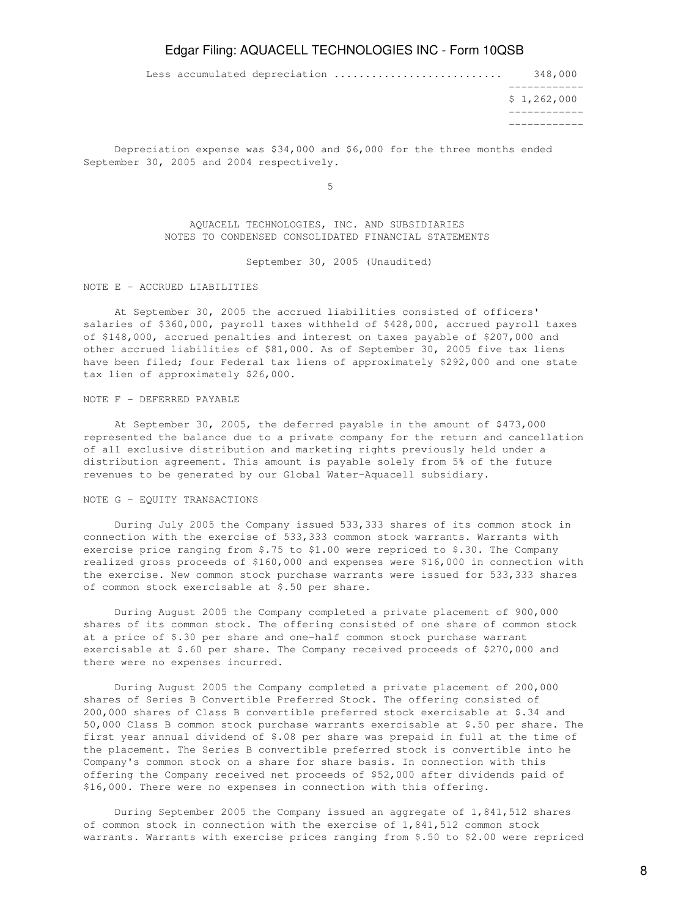Less accumulated depreciation ........................... 348,000

 ------------  $$1,262,000$  ------------ ------------

 Depreciation expense was \$34,000 and \$6,000 for the three months ended September 30, 2005 and 2004 respectively.

 $5<sub>5</sub>$ 

 AQUACELL TECHNOLOGIES, INC. AND SUBSIDIARIES NOTES TO CONDENSED CONSOLIDATED FINANCIAL STATEMENTS

September 30, 2005 (Unaudited)

NOTE E - ACCRUED LIABILITIES

 At September 30, 2005 the accrued liabilities consisted of officers' salaries of \$360,000, payroll taxes withheld of \$428,000, accrued payroll taxes of \$148,000, accrued penalties and interest on taxes payable of \$207,000 and other accrued liabilities of \$81,000. As of September 30, 2005 five tax liens have been filed; four Federal tax liens of approximately \$292,000 and one state tax lien of approximately \$26,000.

#### NOTE F - DEFERRED PAYABLE

 At September 30, 2005, the deferred payable in the amount of \$473,000 represented the balance due to a private company for the return and cancellation of all exclusive distribution and marketing rights previously held under a distribution agreement. This amount is payable solely from 5% of the future revenues to be generated by our Global Water-Aquacell subsidiary.

### NOTE G - EQUITY TRANSACTIONS

 During July 2005 the Company issued 533,333 shares of its common stock in connection with the exercise of 533,333 common stock warrants. Warrants with exercise price ranging from \$.75 to \$1.00 were repriced to \$.30. The Company realized gross proceeds of \$160,000 and expenses were \$16,000 in connection with the exercise. New common stock purchase warrants were issued for 533,333 shares of common stock exercisable at \$.50 per share.

 During August 2005 the Company completed a private placement of 900,000 shares of its common stock. The offering consisted of one share of common stock at a price of \$.30 per share and one-half common stock purchase warrant exercisable at \$.60 per share. The Company received proceeds of \$270,000 and there were no expenses incurred.

 During August 2005 the Company completed a private placement of 200,000 shares of Series B Convertible Preferred Stock. The offering consisted of 200,000 shares of Class B convertible preferred stock exercisable at \$.34 and 50,000 Class B common stock purchase warrants exercisable at \$.50 per share. The first year annual dividend of \$.08 per share was prepaid in full at the time of the placement. The Series B convertible preferred stock is convertible into he Company's common stock on a share for share basis. In connection with this offering the Company received net proceeds of \$52,000 after dividends paid of \$16,000. There were no expenses in connection with this offering.

 During September 2005 the Company issued an aggregate of 1,841,512 shares of common stock in connection with the exercise of 1,841,512 common stock warrants. Warrants with exercise prices ranging from \$.50 to \$2.00 were repriced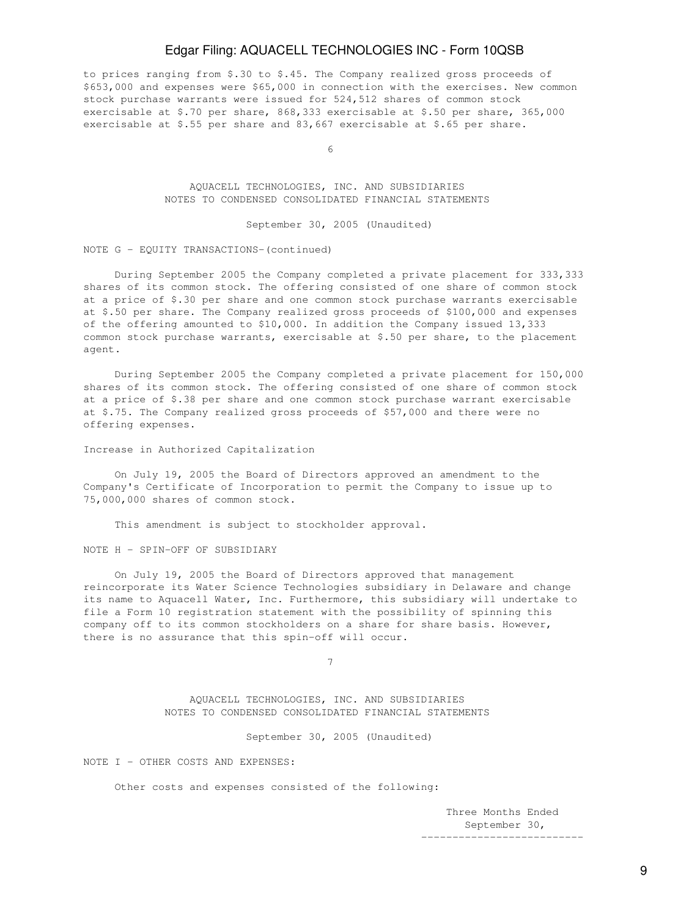to prices ranging from \$.30 to \$.45. The Company realized gross proceeds of \$653,000 and expenses were \$65,000 in connection with the exercises. New common stock purchase warrants were issued for 524,512 shares of common stock exercisable at \$.70 per share, 868,333 exercisable at \$.50 per share, 365,000 exercisable at \$.55 per share and 83,667 exercisable at \$.65 per share.

 $\sim$  6

 AQUACELL TECHNOLOGIES, INC. AND SUBSIDIARIES NOTES TO CONDENSED CONSOLIDATED FINANCIAL STATEMENTS

September 30, 2005 (Unaudited)

NOTE G - EQUITY TRANSACTIONS-(continued)

 During September 2005 the Company completed a private placement for 333,333 shares of its common stock. The offering consisted of one share of common stock at a price of \$.30 per share and one common stock purchase warrants exercisable at \$.50 per share. The Company realized gross proceeds of \$100,000 and expenses of the offering amounted to \$10,000. In addition the Company issued 13,333 common stock purchase warrants, exercisable at \$.50 per share, to the placement agent.

 During September 2005 the Company completed a private placement for 150,000 shares of its common stock. The offering consisted of one share of common stock at a price of \$.38 per share and one common stock purchase warrant exercisable at \$.75. The Company realized gross proceeds of \$57,000 and there were no offering expenses.

Increase in Authorized Capitalization

 On July 19, 2005 the Board of Directors approved an amendment to the Company's Certificate of Incorporation to permit the Company to issue up to 75,000,000 shares of common stock.

This amendment is subject to stockholder approval.

NOTE H - SPIN-OFF OF SUBSIDIARY

 On July 19, 2005 the Board of Directors approved that management reincorporate its Water Science Technologies subsidiary in Delaware and change its name to Aquacell Water, Inc. Furthermore, this subsidiary will undertake to file a Form 10 registration statement with the possibility of spinning this company off to its common stockholders on a share for share basis. However, there is no assurance that this spin-off will occur.

7

 AQUACELL TECHNOLOGIES, INC. AND SUBSIDIARIES NOTES TO CONDENSED CONSOLIDATED FINANCIAL STATEMENTS

September 30, 2005 (Unaudited)

NOTE I - OTHER COSTS AND EXPENSES:

Other costs and expenses consisted of the following:

 Three Months Ended September 30, --------------------------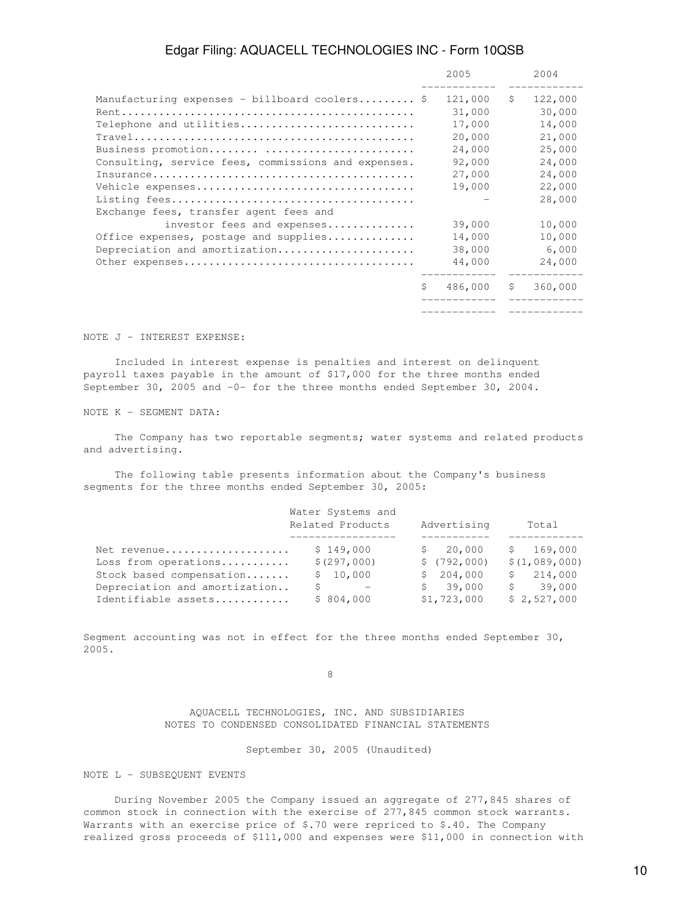|                                                     |    | 2005    |    | 2004    |
|-----------------------------------------------------|----|---------|----|---------|
| Manufacturing expenses - billboard coolers \$       |    | 121,000 | \$ | 122,000 |
|                                                     |    | 31,000  |    | 30,000  |
| Telephone and utilities                             |    | 17,000  |    | 14,000  |
|                                                     |    | 20,000  |    | 21,000  |
| Business promotion                                  |    | 24,000  |    | 25,000  |
| Consulting, service fees, commissions and expenses. |    | 92,000  |    | 24,000  |
|                                                     |    | 27,000  |    | 24,000  |
|                                                     |    | 19,000  |    | 22,000  |
|                                                     |    |         |    | 28,000  |
| Exchange fees, transfer agent fees and              |    |         |    |         |
| investor fees and expenses                          |    | 39,000  |    | 10,000  |
| Office expenses, postage and supplies               |    | 14,000  |    | 10,000  |
| Depreciation and amortization                       |    | 38,000  |    | 6,000   |
|                                                     |    | 44,000  |    | 24,000  |
|                                                     | Ŝ. | 486,000 | S. | 360,000 |
|                                                     |    |         |    |         |

### NOTE J - INTEREST EXPENSE:

 Included in interest expense is penalties and interest on delinquent payroll taxes payable in the amount of \$17,000 for the three months ended September 30, 2005 and -0- for the three months ended September 30, 2004.

NOTE K - SEGMENT DATA:

 The Company has two reportable segments; water systems and related products and advertising.

 The following table presents information about the Company's business segments for the three months ended September 30, 2005:

|                               | Water Systems and<br>Related Products<br>Advertising |              | Total         |
|-------------------------------|------------------------------------------------------|--------------|---------------|
| Net revenue                   | \$149,000                                            | \$20,000     | \$169,000     |
| Loss from operations          | \$(297,000)                                          | \$(792,000)  | \$(1,089,000) |
| Stock based compensation      | \$10,000                                             | \$204,000    | \$214,000     |
| Depreciation and amortization | $\sim$ $ -$                                          | 39,000<br>S. | 39,000<br>S . |
| Identifiable assets           | \$804,000                                            | \$1,723,000  | \$2,527,000   |

Segment accounting was not in effect for the three months ended September 30, 2005.

en andere de la provincia de la provincia de la provincia de la provincia de la provincia de la provincia de<br>En la provincia de la provincia de la provincia de la provincia de la provincia de la provincia de la provinci

 AQUACELL TECHNOLOGIES, INC. AND SUBSIDIARIES NOTES TO CONDENSED CONSOLIDATED FINANCIAL STATEMENTS

September 30, 2005 (Unaudited)

NOTE L - SUBSEQUENT EVENTS

 During November 2005 the Company issued an aggregate of 277,845 shares of common stock in connection with the exercise of 277,845 common stock warrants. Warrants with an exercise price of \$.70 were repriced to \$.40. The Company realized gross proceeds of \$111,000 and expenses were \$11,000 in connection with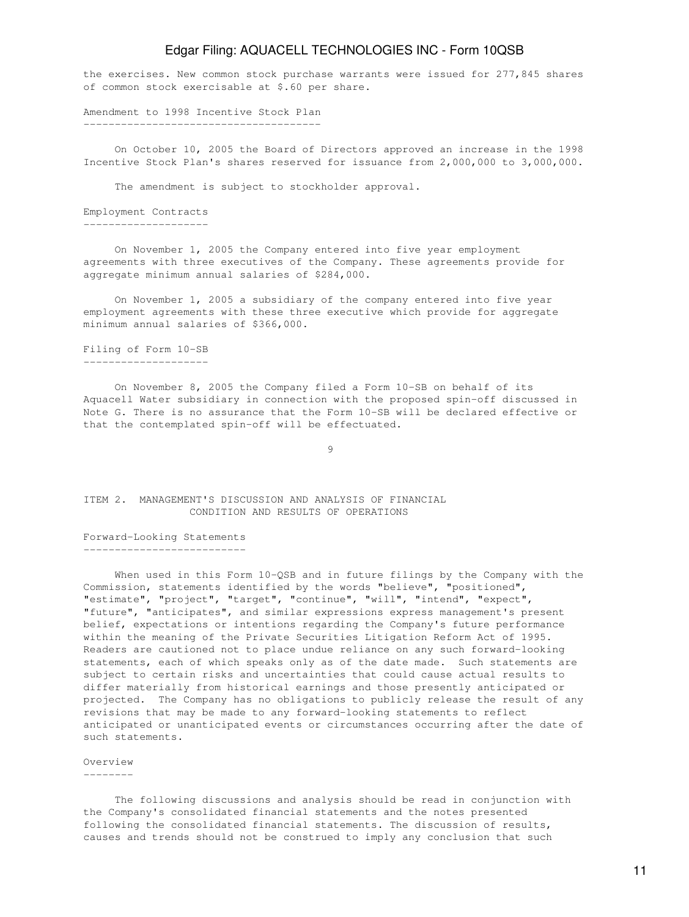the exercises. New common stock purchase warrants were issued for 277,845 shares of common stock exercisable at \$.60 per share.

Amendment to 1998 Incentive Stock Plan --------------------------------------

 On October 10, 2005 the Board of Directors approved an increase in the 1998 Incentive Stock Plan's shares reserved for issuance from 2,000,000 to 3,000,000.

The amendment is subject to stockholder approval.

Employment Contracts --------------------

 On November 1, 2005 the Company entered into five year employment agreements with three executives of the Company. These agreements provide for aggregate minimum annual salaries of \$284,000.

 On November 1, 2005 a subsidiary of the company entered into five year employment agreements with these three executive which provide for aggregate minimum annual salaries of \$366,000.

#### Filing of Form 10-SB --------------------

 On November 8, 2005 the Company filed a Form 10-SB on behalf of its Aquacell Water subsidiary in connection with the proposed spin-off discussed in Note G. There is no assurance that the Form 10-SB will be declared effective or that the contemplated spin-off will be effectuated.

9

### ITEM 2. MANAGEMENT'S DISCUSSION AND ANALYSIS OF FINANCIAL CONDITION AND RESULTS OF OPERATIONS

Forward-Looking Statements --------------------------

When used in this Form 10-QSB and in future filings by the Company with the Commission, statements identified by the words "believe", "positioned", "estimate", "project", "target", "continue", "will", "intend", "expect", "future", "anticipates", and similar expressions express management's present belief, expectations or intentions regarding the Company's future performance within the meaning of the Private Securities Litigation Reform Act of 1995. Readers are cautioned not to place undue reliance on any such forward-looking statements, each of which speaks only as of the date made. Such statements are subject to certain risks and uncertainties that could cause actual results to differ materially from historical earnings and those presently anticipated or projected. The Company has no obligations to publicly release the result of any revisions that may be made to any forward-looking statements to reflect anticipated or unanticipated events or circumstances occurring after the date of such statements.

#### Overview

--------

 The following discussions and analysis should be read in conjunction with the Company's consolidated financial statements and the notes presented following the consolidated financial statements. The discussion of results, causes and trends should not be construed to imply any conclusion that such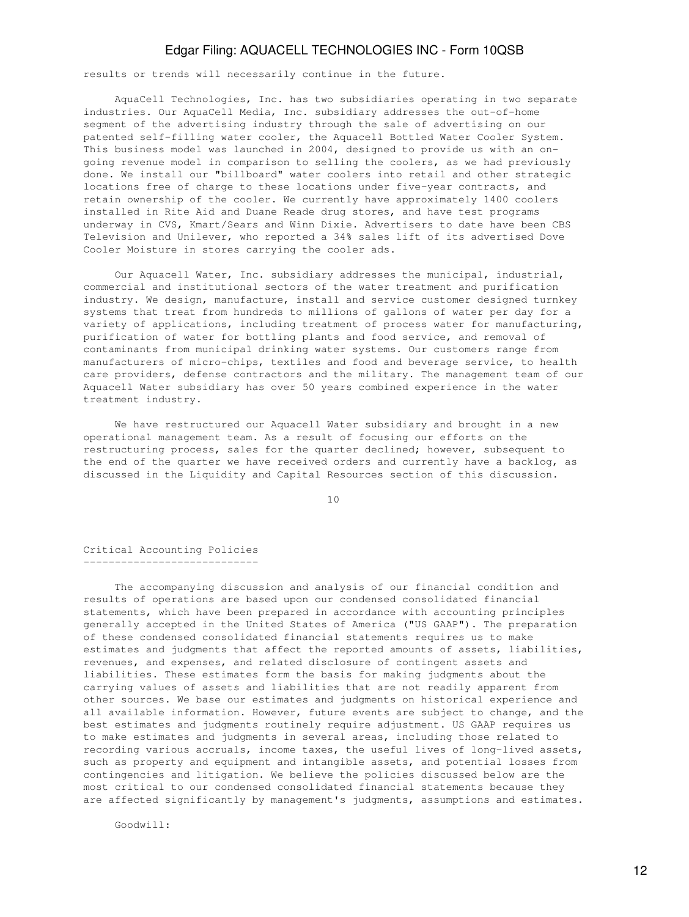results or trends will necessarily continue in the future.

 AquaCell Technologies, Inc. has two subsidiaries operating in two separate industries. Our AquaCell Media, Inc. subsidiary addresses the out-of-home segment of the advertising industry through the sale of advertising on our patented self-filling water cooler, the Aquacell Bottled Water Cooler System. This business model was launched in 2004, designed to provide us with an ongoing revenue model in comparison to selling the coolers, as we had previously done. We install our "billboard" water coolers into retail and other strategic locations free of charge to these locations under five-year contracts, and retain ownership of the cooler. We currently have approximately 1400 coolers installed in Rite Aid and Duane Reade drug stores, and have test programs underway in CVS, Kmart/Sears and Winn Dixie. Advertisers to date have been CBS Television and Unilever, who reported a 34% sales lift of its advertised Dove Cooler Moisture in stores carrying the cooler ads.

 Our Aquacell Water, Inc. subsidiary addresses the municipal, industrial, commercial and institutional sectors of the water treatment and purification industry. We design, manufacture, install and service customer designed turnkey systems that treat from hundreds to millions of gallons of water per day for a variety of applications, including treatment of process water for manufacturing, purification of water for bottling plants and food service, and removal of contaminants from municipal drinking water systems. Our customers range from manufacturers of micro-chips, textiles and food and beverage service, to health care providers, defense contractors and the military. The management team of our Aquacell Water subsidiary has over 50 years combined experience in the water treatment industry.

 We have restructured our Aquacell Water subsidiary and brought in a new operational management team. As a result of focusing our efforts on the restructuring process, sales for the quarter declined; however, subsequent to the end of the quarter we have received orders and currently have a backlog, as discussed in the Liquidity and Capital Resources section of this discussion.

10

Critical Accounting Policies ----------------------------

 The accompanying discussion and analysis of our financial condition and results of operations are based upon our condensed consolidated financial statements, which have been prepared in accordance with accounting principles generally accepted in the United States of America ("US GAAP"). The preparation of these condensed consolidated financial statements requires us to make estimates and judgments that affect the reported amounts of assets, liabilities, revenues, and expenses, and related disclosure of contingent assets and liabilities. These estimates form the basis for making judgments about the carrying values of assets and liabilities that are not readily apparent from other sources. We base our estimates and judgments on historical experience and all available information. However, future events are subject to change, and the best estimates and judgments routinely require adjustment. US GAAP requires us to make estimates and judgments in several areas, including those related to recording various accruals, income taxes, the useful lives of long-lived assets, such as property and equipment and intangible assets, and potential losses from contingencies and litigation. We believe the policies discussed below are the most critical to our condensed consolidated financial statements because they are affected significantly by management's judgments, assumptions and estimates.

Goodwill: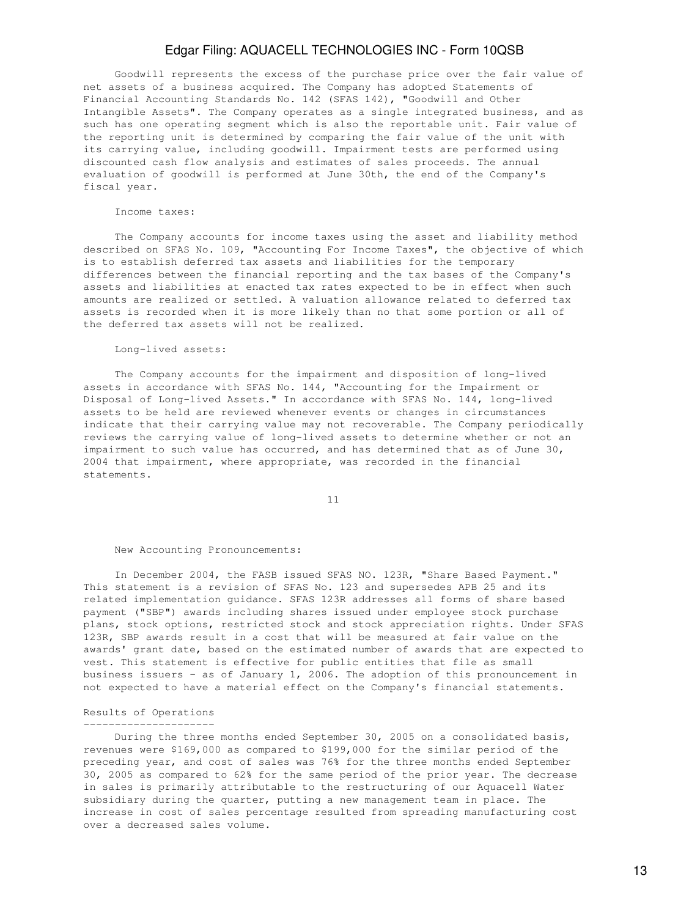Goodwill represents the excess of the purchase price over the fair value of net assets of a business acquired. The Company has adopted Statements of Financial Accounting Standards No. 142 (SFAS 142), "Goodwill and Other Intangible Assets". The Company operates as a single integrated business, and as such has one operating segment which is also the reportable unit. Fair value of the reporting unit is determined by comparing the fair value of the unit with its carrying value, including goodwill. Impairment tests are performed using discounted cash flow analysis and estimates of sales proceeds. The annual evaluation of goodwill is performed at June 30th, the end of the Company's fiscal year.

#### Income taxes:

 The Company accounts for income taxes using the asset and liability method described on SFAS No. 109, "Accounting For Income Taxes", the objective of which is to establish deferred tax assets and liabilities for the temporary differences between the financial reporting and the tax bases of the Company's assets and liabilities at enacted tax rates expected to be in effect when such amounts are realized or settled. A valuation allowance related to deferred tax assets is recorded when it is more likely than no that some portion or all of the deferred tax assets will not be realized.

#### Long-lived assets:

 The Company accounts for the impairment and disposition of long-lived assets in accordance with SFAS No. 144, "Accounting for the Impairment or Disposal of Long-lived Assets." In accordance with SFAS No. 144, long-lived assets to be held are reviewed whenever events or changes in circumstances indicate that their carrying value may not recoverable. The Company periodically reviews the carrying value of long-lived assets to determine whether or not an impairment to such value has occurred, and has determined that as of June 30, 2004 that impairment, where appropriate, was recorded in the financial statements.

11

#### New Accounting Pronouncements:

 In December 2004, the FASB issued SFAS NO. 123R, "Share Based Payment." This statement is a revision of SFAS No. 123 and supersedes APB 25 and its related implementation guidance. SFAS 123R addresses all forms of share based payment ("SBP") awards including shares issued under employee stock purchase plans, stock options, restricted stock and stock appreciation rights. Under SFAS 123R, SBP awards result in a cost that will be measured at fair value on the awards' grant date, based on the estimated number of awards that are expected to vest. This statement is effective for public entities that file as small business issuers - as of January 1, 2006. The adoption of this pronouncement in not expected to have a material effect on the Company's financial statements.

### Results of Operations ---------------------

 During the three months ended September 30, 2005 on a consolidated basis, revenues were \$169,000 as compared to \$199,000 for the similar period of the preceding year, and cost of sales was 76% for the three months ended September 30, 2005 as compared to 62% for the same period of the prior year. The decrease in sales is primarily attributable to the restructuring of our Aquacell Water subsidiary during the quarter, putting a new management team in place. The increase in cost of sales percentage resulted from spreading manufacturing cost over a decreased sales volume.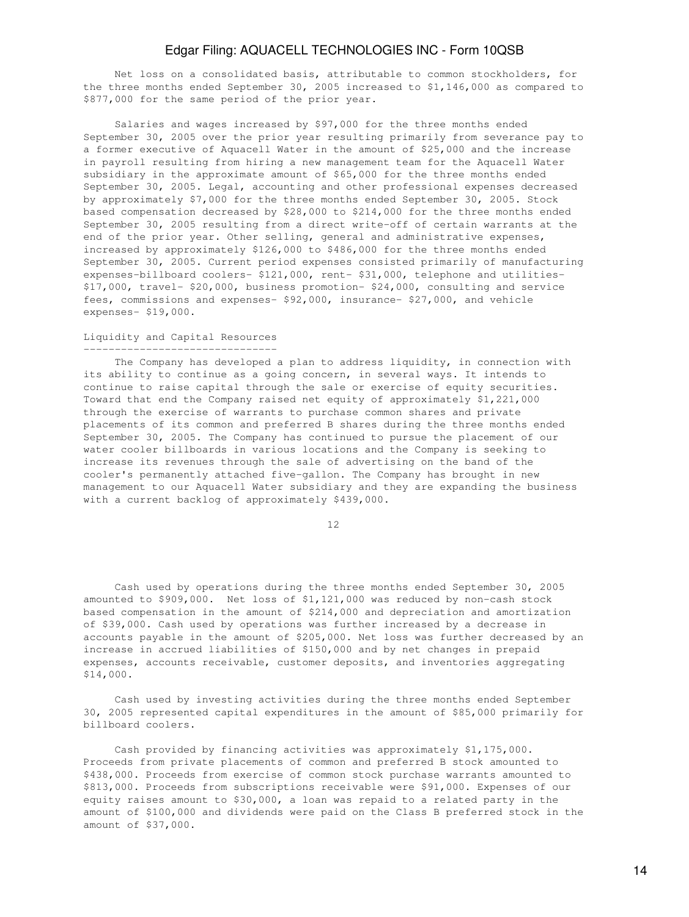Net loss on a consolidated basis, attributable to common stockholders, for the three months ended September 30, 2005 increased to \$1,146,000 as compared to \$877,000 for the same period of the prior year.

 Salaries and wages increased by \$97,000 for the three months ended September 30, 2005 over the prior year resulting primarily from severance pay to a former executive of Aquacell Water in the amount of \$25,000 and the increase in payroll resulting from hiring a new management team for the Aquacell Water subsidiary in the approximate amount of \$65,000 for the three months ended September 30, 2005. Legal, accounting and other professional expenses decreased by approximately \$7,000 for the three months ended September 30, 2005. Stock based compensation decreased by \$28,000 to \$214,000 for the three months ended September 30, 2005 resulting from a direct write-off of certain warrants at the end of the prior year. Other selling, general and administrative expenses, increased by approximately \$126,000 to \$486,000 for the three months ended September 30, 2005. Current period expenses consisted primarily of manufacturing expenses-billboard coolers- \$121,000, rent- \$31,000, telephone and utilities- \$17,000, travel- \$20,000, business promotion- \$24,000, consulting and service fees, commissions and expenses- \$92,000, insurance- \$27,000, and vehicle expenses- \$19,000.

#### Liquidity and Capital Resources -------------------------------

The Company has developed a plan to address liquidity, in connection with its ability to continue as a going concern, in several ways. It intends to continue to raise capital through the sale or exercise of equity securities. Toward that end the Company raised net equity of approximately \$1,221,000 through the exercise of warrants to purchase common shares and private placements of its common and preferred B shares during the three months ended September 30, 2005. The Company has continued to pursue the placement of our water cooler billboards in various locations and the Company is seeking to increase its revenues through the sale of advertising on the band of the cooler's permanently attached five-gallon. The Company has brought in new management to our Aquacell Water subsidiary and they are expanding the business with a current backlog of approximately \$439,000.

12

 Cash used by operations during the three months ended September 30, 2005 amounted to \$909,000. Net loss of \$1,121,000 was reduced by non-cash stock based compensation in the amount of \$214,000 and depreciation and amortization of \$39,000. Cash used by operations was further increased by a decrease in accounts payable in the amount of \$205,000. Net loss was further decreased by an increase in accrued liabilities of \$150,000 and by net changes in prepaid expenses, accounts receivable, customer deposits, and inventories aggregating \$14,000.

 Cash used by investing activities during the three months ended September 30, 2005 represented capital expenditures in the amount of \$85,000 primarily for billboard coolers.

 Cash provided by financing activities was approximately \$1,175,000. Proceeds from private placements of common and preferred B stock amounted to \$438,000. Proceeds from exercise of common stock purchase warrants amounted to \$813,000. Proceeds from subscriptions receivable were \$91,000. Expenses of our equity raises amount to \$30,000, a loan was repaid to a related party in the amount of \$100,000 and dividends were paid on the Class B preferred stock in the amount of \$37,000.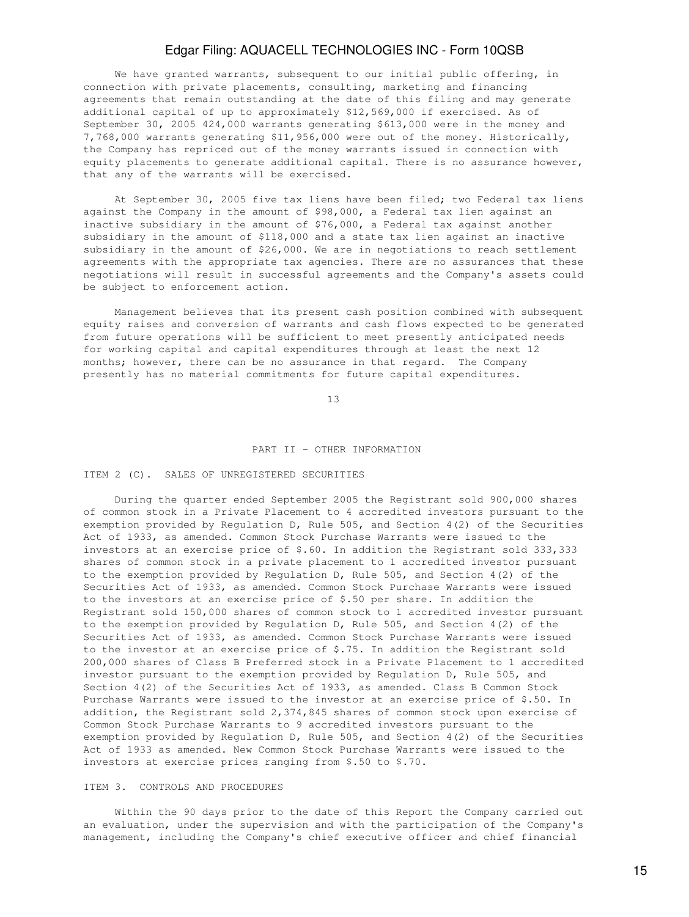We have granted warrants, subsequent to our initial public offering, in connection with private placements, consulting, marketing and financing agreements that remain outstanding at the date of this filing and may generate additional capital of up to approximately \$12,569,000 if exercised. As of September 30, 2005 424,000 warrants generating \$613,000 were in the money and 7,768,000 warrants generating \$11,956,000 were out of the money. Historically, the Company has repriced out of the money warrants issued in connection with equity placements to generate additional capital. There is no assurance however, that any of the warrants will be exercised.

 At September 30, 2005 five tax liens have been filed; two Federal tax liens against the Company in the amount of \$98,000, a Federal tax lien against an inactive subsidiary in the amount of \$76,000, a Federal tax against another subsidiary in the amount of \$118,000 and a state tax lien against an inactive subsidiary in the amount of \$26,000. We are in negotiations to reach settlement agreements with the appropriate tax agencies. There are no assurances that these negotiations will result in successful agreements and the Company's assets could be subject to enforcement action.

 Management believes that its present cash position combined with subsequent equity raises and conversion of warrants and cash flows expected to be generated from future operations will be sufficient to meet presently anticipated needs for working capital and capital expenditures through at least the next 12 months; however, there can be no assurance in that regard. The Company presently has no material commitments for future capital expenditures.

13

#### PART II - OTHER INFORMATION

#### ITEM 2 (C). SALES OF UNREGISTERED SECURITIES

 During the quarter ended September 2005 the Registrant sold 900,000 shares of common stock in a Private Placement to 4 accredited investors pursuant to the exemption provided by Regulation D, Rule 505, and Section 4(2) of the Securities Act of 1933, as amended. Common Stock Purchase Warrants were issued to the investors at an exercise price of \$.60. In addition the Registrant sold 333,333 shares of common stock in a private placement to 1 accredited investor pursuant to the exemption provided by Regulation D, Rule 505, and Section 4(2) of the Securities Act of 1933, as amended. Common Stock Purchase Warrants were issued to the investors at an exercise price of \$.50 per share. In addition the Registrant sold 150,000 shares of common stock to 1 accredited investor pursuant to the exemption provided by Regulation D, Rule 505, and Section 4(2) of the Securities Act of 1933, as amended. Common Stock Purchase Warrants were issued to the investor at an exercise price of \$.75. In addition the Registrant sold 200,000 shares of Class B Preferred stock in a Private Placement to 1 accredited investor pursuant to the exemption provided by Regulation D, Rule 505, and Section 4(2) of the Securities Act of 1933, as amended. Class B Common Stock Purchase Warrants were issued to the investor at an exercise price of \$.50. In addition, the Registrant sold 2,374,845 shares of common stock upon exercise of Common Stock Purchase Warrants to 9 accredited investors pursuant to the exemption provided by Regulation D, Rule 505, and Section 4(2) of the Securities Act of 1933 as amended. New Common Stock Purchase Warrants were issued to the investors at exercise prices ranging from \$.50 to \$.70.

### ITEM 3. CONTROLS AND PROCEDURES

 Within the 90 days prior to the date of this Report the Company carried out an evaluation, under the supervision and with the participation of the Company's management, including the Company's chief executive officer and chief financial